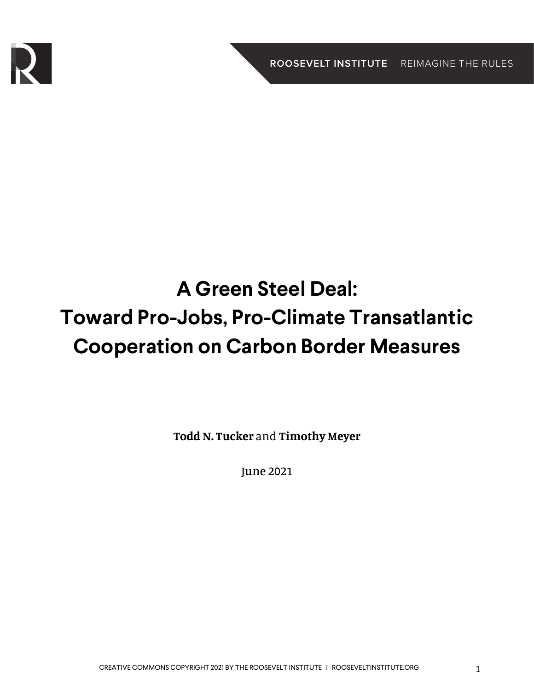

# **A Green Steel Deal: Toward Pro-Jobs, Pro-Climate Transatlantic Cooperation on Carbon Border Measures**

**Todd N. Tucker** and **Timothy Meyer**

June 2021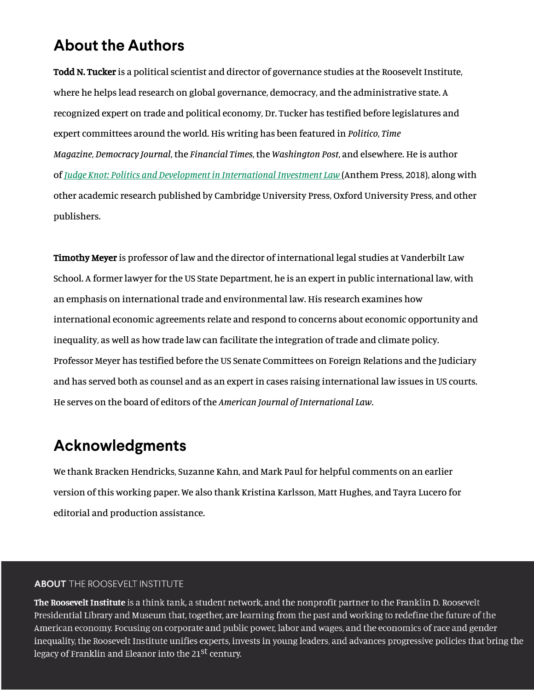#### **About the Authors**

Todd N. Tucker is a political scientist and director of governance studies at the Roosevelt Institute, where he helps lead research on global governance, democracy, and the administrative state. A recognized expert on trade and political economy, Dr. Tucker has testified before legislatures and expert committees around the world. His writing has been featured in *Politico*, *Time Magazine*, *Democracy Journal*, the *Financial Times*, the *Washington Post*, and elsewhere. He is author of *Judge Knot: Politics and Development in International Investment Law* (Anthem Press, 2018), along with other academic research published by Cambridge University Press, Oxford University Press, and other publishers.

Timothy Meyer is professor of law and the director of international legal studies at Vanderbilt Law School. A former lawyer for the US State Department, he is an expert in public international law, with an emphasis on international trade and environmental law. His research examines how international economic agreements relate and respond to concerns about economic opportunity and inequality, as well as how trade law can facilitate the integration of trade and climate policy. Professor Meyer has testified before the US Senate Committees on Foreign Relations and the Judiciary and has served both as counsel and as an expert in cases raising international law issues in US courts. He serves on the board of editors of the *American Journal of International Law*.

#### **Acknowledgments**

We thank Bracken Hendricks, Suzanne Kahn, and Mark Paul for helpful comments on an earlier version of this working paper. We also thank Kristina Karlsson, Matt Hughes, and Tayra Lucero for editorial and production assistance.

#### **ABOUT** THE ROOSEVELT INSTITUTE

The Roosevelt Institute is a think tank, a student network, and the nonprofit partner to the Franklin D. Roosevelt Presidential Library and Museum that, together, are learning from the past and working to redefine the future of the American economy. Focusing on corporate and public power, labor and wages, and the economics of race and gender inequality, the Roosevelt Institute unifies experts, invests in young leaders, and advances progressive policies that bring the legacy of Franklin and Eleanor into the 21<sup>st</sup> century.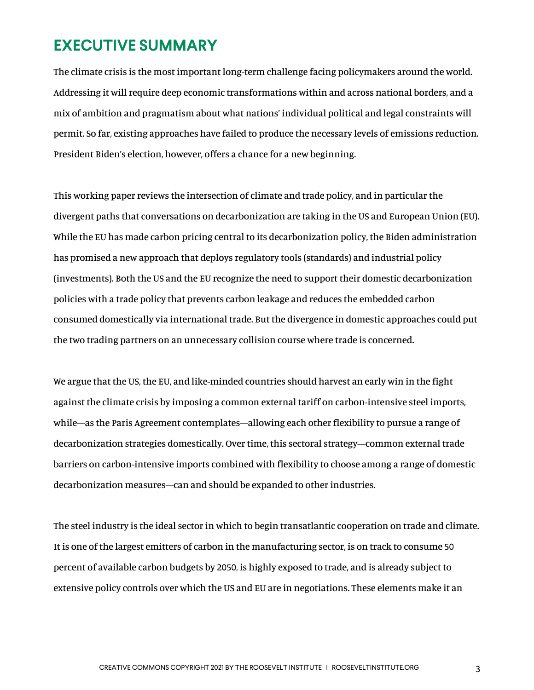#### **EXECUTIVE SUMMARY**

The climate crisis is the most important long-term challenge facing policymakers around the world. Addressing it will require deep economic transformations within and across national borders, and a mix of ambition and pragmatism about what nations' individual political and legal constraints will permit. So far, existing approaches have failed to produce the necessary levels of emissions reduction. President Biden's election, however, offers a chance for a new beginning.

This working paper reviews the intersection of climate and trade policy, and in particular the divergent paths that conversations on decarbonization are taking in the US and European Union (EU). While the EU has made carbon pricing central to its decarbonization policy, the Biden administration has promised a new approach that deploys regulatory tools (standards) and industrial policy (investments). Both the US and the EU recognize the need to support their domestic decarbonization policies with a trade policy that prevents carbon leakage and reduces the embedded carbon consumed domestically via international trade. But the divergence in domestic approaches could put the two trading partners on an unnecessary collision course where trade is concerned.

We argue that the US, the EU, and like-minded countries should harvest an early win in the fight against the climate crisis by imposing a common external tariff on carbon-intensive steel imports, while—as the Paris Agreement contemplates—allowing each other flexibility to pursue a range of decarbonization strategies domestically. Over time, this sectoral strategy—common external trade barriers on carbon-intensive imports combined with flexibility to choose among a range of domestic decarbonization measures—can and should be expanded to other industries.

The steel industry is the ideal sector in which to begin transatlantic cooperation on trade and climate. It is one of the largest emitters of carbon in the manufacturing sector, is on track to consume 50 percent of available carbon budgets by 2050, is highly exposed to trade, and is already subject to extensive policy controls over which the US and EU are in negotiations. These elements make it an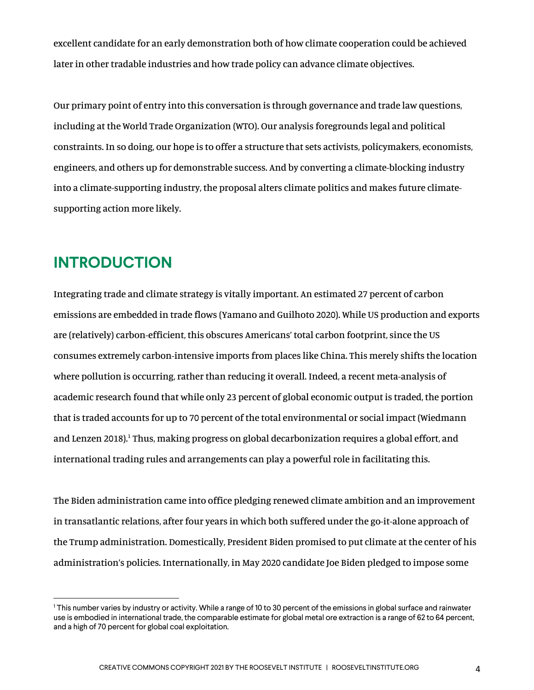excellent candidate for an early demonstration both of how climate cooperation could be achieved later in other tradable industries and how trade policy can advance climate objectives.

Our primary point of entry into this conversation is through governance and trade law questions, including at the World Trade Organization (WTO). Our analysis foregrounds legal and political constraints. In so doing, our hope is to offer a structure that sets activists, policymakers, economists, engineers, and others up for demonstrable success. And by converting a climate-blocking industry into a climate-supporting industry, the proposal alters climate politics and makes future climatesupporting action more likely.

#### **INTRODUCTION**

Integrating trade and climate strategy is vitally important. An estimated 27 percent of carbon emissions are embedded in trade flows (Yamano and Guilhoto 2020). While US production and exports are (relatively) carbon-efficient, this obscures Americans' total carbon footprint, since the US consumes extremely carbon-intensive imports from places like China. This merely shifts the location where pollution is occurring, rather than reducing it overall. Indeed, a recent meta-analysis of academic research found that while only 23 percent of global economic output is traded, the portion that is traded accounts for up to 70 percent of the total environmental or social impact (Wiedmann and Lenzen 2018).<sup>1</sup> Thus, making progress on global decarbonization requires a global effort, and international trading rules and arrangements can play a powerful role in facilitating this.

The Biden administration came into office pledging renewed climate ambition and an improvement in transatlantic relations, after four years in which both suffered under the go-it-alone approach of the Trump administration. Domestically, President Biden promised to put climate at the center of his administration's policies. Internationally, in May 2020 candidate Joe Biden pledged to impose some

<sup>1</sup> This number varies by industry or activity. While a range of 10 to 30 percent of the emissions in global surface and rainwater use is embodied in international trade, the comparable estimate for global metal ore extraction is a range of 62 to 64 percent, and a high of 70 percent for global coal exploitation.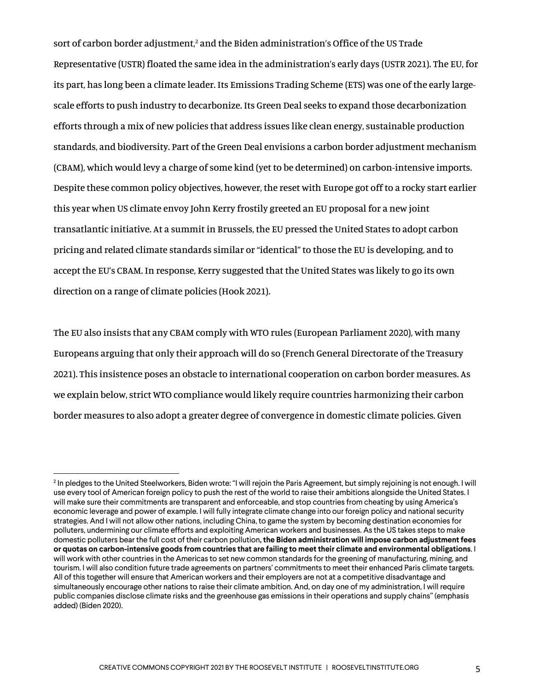sort of carbon border adjustment,<sup>2</sup> and the Biden administration's Office of the US Trade Representative (USTR) floated the same idea in the administration's early days (USTR 2021). The EU, for its part, has long been a climate leader. Its Emissions Trading Scheme (ETS) was one of the early largescale efforts to push industry to decarbonize. Its Green Deal seeks to expand those decarbonization efforts through a mix of new policies that address issues like clean energy, sustainable production standards, and biodiversity. Part of the Green Deal envisions a carbon border adjustment mechanism (CBAM), which would levy a charge of some kind (yet to be determined) on carbon-intensive imports. Despite these common policy objectives, however, the reset with Europe got off to a rocky start earlier this year when US climate envoy John Kerry frostily greeted an EU proposal for a new joint transatlantic initiative. At a summit in Brussels, the EU pressed the United States to adopt carbon pricing and related climate standards similar or "identical" to those the EU is developing, and to accept the EU's CBAM. In response, Kerry suggested that the United States was likely to go its own direction on a range of climate policies (Hook 2021).

The EU also insists that any CBAM comply with WTO rules (European Parliament 2020), with many Europeans arguing that only their approach will do so (French General Directorate of the Treasury 2021). This insistence poses an obstacle to international cooperation on carbon border measures. As we explain below, strict WTO compliance would likely require countries harmonizing their carbon border measures to also adopt a greater degree of convergence in domestic climate policies. Given

<sup>&</sup>lt;sup>2</sup> In pledges to the United Steelworkers, Biden wrote: "I will rejoin the Paris Agreement, but simply rejoining is not enough. I will use every tool of American foreign policy to push the rest of the world to raise their ambitions alongside the United States. I will make sure their commitments are transparent and enforceable, and stop countries from cheating by using America's economic leverage and power of example. I will fully integrate climate change into our foreign policy and national security strategies. And I will not allow other nations, including China, to game the system by becoming destination economies for polluters, undermining our climate efforts and exploiting American workers and businesses. As the US takes steps to make domestic polluters bear the full cost of their carbon pollution**, the Biden administration will impose carbon adjustment fees or quotas on carbon-intensive goods from countries that are failing to meet their climate and environmental obligations**. I will work with other countries in the Americas to set new common standards for the greening of manufacturing, mining, and tourism. I will also condition future trade agreements on partners' commitments to meet their enhanced Paris climate targets. All of this together will ensure that American workers and their employers are not at a competitive disadvantage and simultaneously encourage other nations to raise their climate ambition. And, on day one of my administration, I will require public companies disclose climate risks and the greenhouse gas emissions in their operations and supply chains" (emphasis added) (Biden 2020).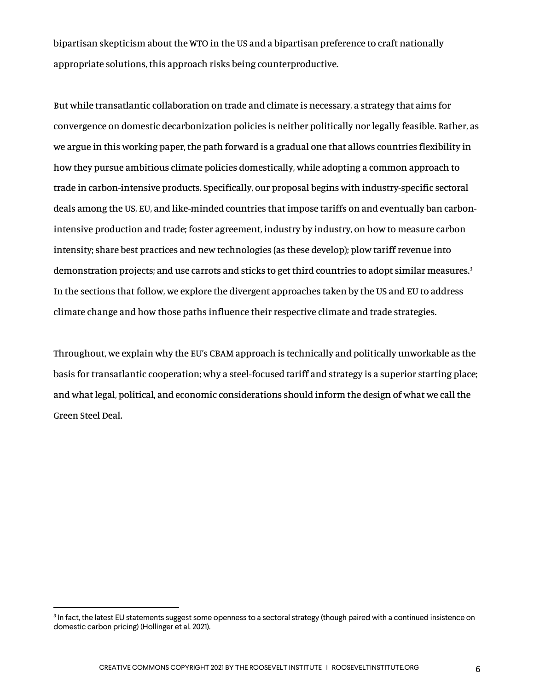bipartisan skepticism about the WTO in the US and a bipartisan preference to craft nationally appropriate solutions, this approach risks being counterproductive.

But while transatlantic collaboration on trade and climate is necessary, a strategy that aims for convergence on domestic decarbonization policies is neither politically nor legally feasible. Rather, as we argue in this working paper, the path forward is a gradual one that allows countries flexibility in how they pursue ambitious climate policies domestically, while adopting a common approach to trade in carbon-intensive products. Specifically, our proposal begins with industry-specific sectoral deals among the US, EU, and like-minded countries that impose tariffs on and eventually ban carbonintensive production and trade; foster agreement, industry by industry, on how to measure carbon intensity; share best practices and new technologies (as these develop); plow tariff revenue into demonstration projects; and use carrots and sticks to get third countries to adopt similar measures.<sup>3</sup> In the sections that follow, we explore the divergent approaches taken by the US and EU to address climate change and how those paths influence their respective climate and trade strategies.

Throughout, we explain why the EU's CBAM approach is technically and politically unworkable as the basis for transatlantic cooperation; why a steel-focused tariff and strategy is a superior starting place; and what legal, political, and economic considerations should inform the design of what we call the Green Steel Deal.

<sup>&</sup>lt;sup>3</sup> In fact, the latest EU statements suggest some openness to a sectoral strategy (though paired with a continued insistence on domestic carbon pricing) (Hollinger et al. 2021).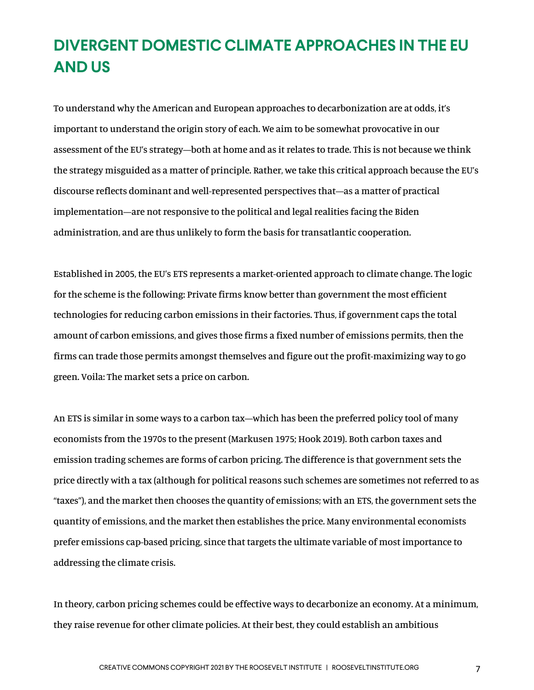#### **DIVERGENT DOMESTIC CLIMATE APPROACHES IN THE EU AND US**

To understand why the American and European approaches to decarbonization are at odds, it's important to understand the origin story of each. We aim to be somewhat provocative in our assessment of the EU's strategy—both at home and as it relates to trade. This is not because we think the strategy misguided as a matter of principle. Rather, we take this critical approach because the EU's discourse reflects dominant and well-represented perspectives that—as a matter of practical implementation—are not responsive to the political and legal realities facing the Biden administration, and are thus unlikely to form the basis for transatlantic cooperation.

Established in 2005, the EU's ETS represents a market-oriented approach to climate change. The logic for the scheme is the following: Private firms know better than government the most efficient technologies for reducing carbon emissions in their factories. Thus, if government caps the total amount of carbon emissions, and gives those firms a fixed number of emissions permits, then the firms can trade those permits amongst themselves and figure out the profit-maximizing way to go green. Voila: The market sets a price on carbon.

An ETS is similar in some ways to a carbon tax—which has been the preferred policy tool of many economists from the 1970s to the present (Markusen 1975; Hook 2019). Both carbon taxes and emission trading schemes are forms of carbon pricing. The difference is that government sets the price directly with a tax (although for political reasons such schemes are sometimes not referred to as "taxes"), and the market then chooses the quantity of emissions; with an ETS, the government sets the quantity of emissions, and the market then establishes the price. Many environmental economists prefer emissions cap-based pricing, since that targets the ultimate variable of most importance to addressing the climate crisis.

In theory, carbon pricing schemes could be effective ways to decarbonize an economy. At a minimum, they raise revenue for other climate policies. At their best, they could establish an ambitious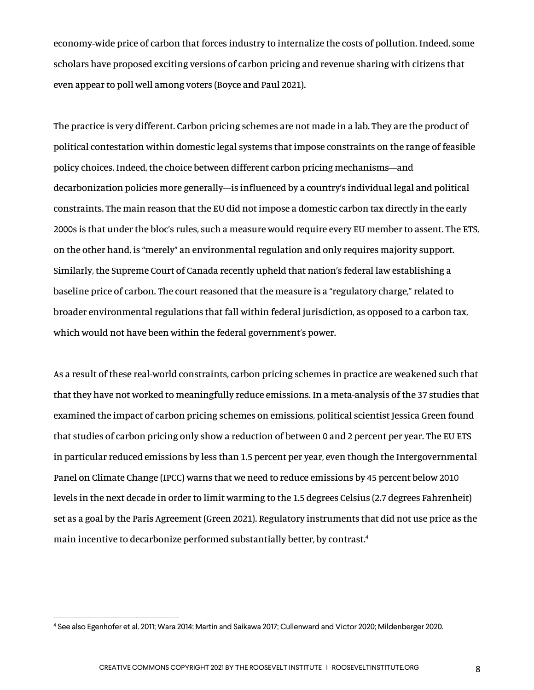economy-wide price of carbon that forces industry to internalize the costs of pollution. Indeed, some scholars have proposed exciting versions of carbon pricing and revenue sharing with citizens that even appear to poll well among voters (Boyce and Paul 2021).

The practice is very different. Carbon pricing schemes are not made in a lab. They are the product of political contestation within domestic legal systems that impose constraints on the range of feasible policy choices. Indeed, the choice between different carbon pricing mechanisms—and decarbonization policies more generally—is influenced by a country's individual legal and political constraints. The main reason that the EU did not impose a domestic carbon tax directly in the early 2000s is that under the bloc's rules, such a measure would require every EU member to assent. The ETS, on the other hand, is "merely" an environmental regulation and only requires majority support. Similarly, the Supreme Court of Canada recently upheld that nation's federal law establishing a baseline price of carbon. The court reasoned that the measure is a "regulatory charge," related to broader environmental regulations that fall within federal jurisdiction, as opposed to a carbon tax, which would not have been within the federal government's power.

As a result of these real-world constraints, carbon pricing schemes in practice are weakened such that that they have not worked to meaningfully reduce emissions. In a meta-analysis of the 37 studies that examined the impact of carbon pricing schemes on emissions, political scientist Jessica Green found that studies of carbon pricing only show a reduction of between 0 and 2 percent per year. The EU ETS in particular reduced emissions by less than 1.5 percent per year, even though the Intergovernmental Panel on Climate Change (IPCC) warns that we need to reduce emissions by 45 percent below 2010 levels in the next decade in order to limit warming to the 1.5 degrees Celsius (2.7 degrees Fahrenheit) set as a goal by the Paris Agreement (Green 2021). Regulatory instruments that did not use price as the main incentive to decarbonize performed substantially better, by contrast.4

<sup>4</sup> See also Egenhofer et al. 2011; Wara 2014; Martin and Saikawa 2017; Cullenward and Victor 2020; Mildenberger 2020.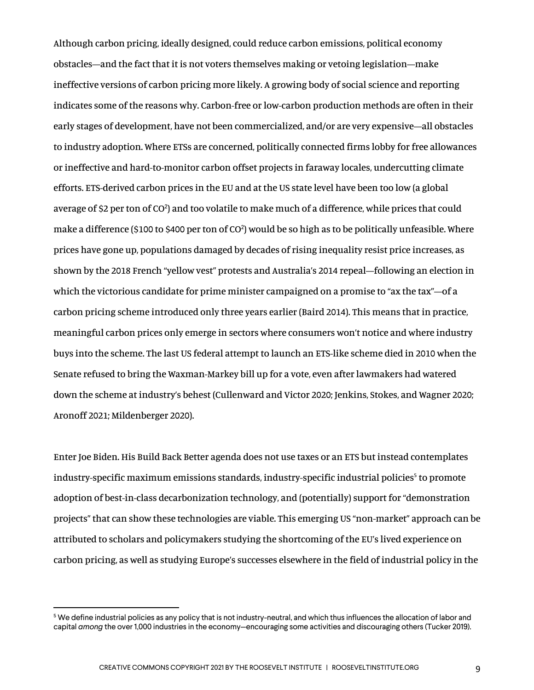Although carbon pricing, ideally designed, could reduce carbon emissions, political economy obstacles—and the fact that it is not voters themselves making or vetoing legislation—make ineffective versions of carbon pricing more likely. A growing body of social science and reporting indicates some of the reasons why. Carbon-free or low-carbon production methods are often in their early stages of development, have not been commercialized, and/or are very expensive—all obstacles to industry adoption. Where ETSs are concerned, politically connected firms lobby for free allowances or ineffective and hard-to-monitor carbon offset projects in faraway locales, undercutting climate efforts. ETS-derived carbon prices in the EU and at the US state level have been too low (a global average of \$2 per ton of CO<sup>2</sup>) and too volatile to make much of a difference, while prices that could make a difference (\$100 to \$400 per ton of CO<sup>2</sup>) would be so high as to be politically unfeasible. Where prices have gone up, populations damaged by decades of rising inequality resist price increases, as shown by the 2018 French "yellow vest" protests and Australia's 2014 repeal—following an election in which the victorious candidate for prime minister campaigned on a promise to "ax the tax"—of a carbon pricing scheme introduced only three years earlier (Baird 2014). This means that in practice, meaningful carbon prices only emerge in sectors where consumers won't notice and where industry buys into the scheme. The last US federal attempt to launch an ETS-like scheme died in 2010 when the Senate refused to bring the Waxman-Markey bill up for a vote, even after lawmakers had watered down the scheme at industry's behest (Cullenward and Victor 2020; Jenkins, Stokes, and Wagner 2020; Aronoff 2021; Mildenberger 2020).

Enter Joe Biden. His Build Back Better agenda does not use taxes or an ETS but instead contemplates industry-specific maximum emissions standards, industry-specific industrial policies<sup>5</sup> to promote adoption of best-in-class decarbonization technology, and (potentially) support for "demonstration projects" that can show these technologies are viable. This emerging US "non-market" approach can be attributed to scholars and policymakers studying the shortcoming of the EU's lived experience on carbon pricing, as well as studying Europe's successes elsewhere in the field of industrial policy in the

<sup>5</sup> We define industrial policies as any policy that is not industry-neutral, and which thus influences the allocation of labor and capital *among* the over 1,000 industries in the economy—encouraging some activities and discouraging others (Tucker 2019).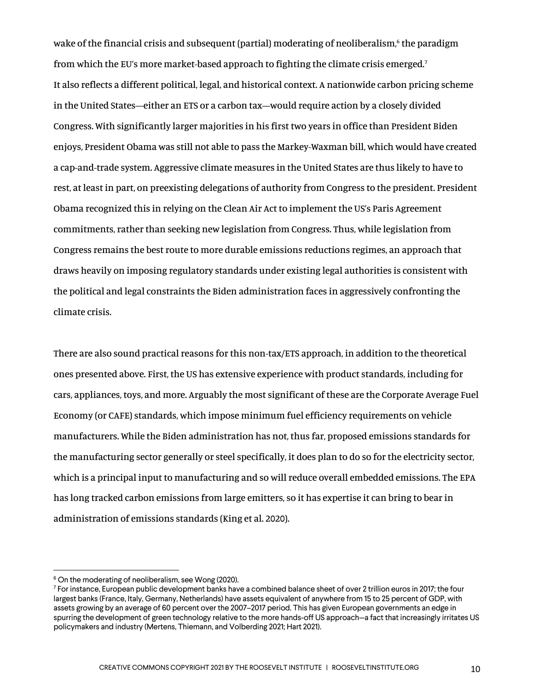wake of the financial crisis and subsequent (partial) moderating of neoliberalism, $6$  the paradigm from which the EU's more market-based approach to fighting the climate crisis emerged.<sup>7</sup> It also reflects a different political, legal, and historical context. A nationwide carbon pricing scheme in the United States—either an ETS or a carbon tax—would require action by a closely divided Congress. With significantly larger majorities in his first two years in office than President Biden enjoys, President Obama was still not able to pass the Markey-Waxman bill, which would have created a cap-and-trade system. Aggressive climate measures in the United States are thus likely to have to rest, at least in part, on preexisting delegations of authority from Congress to the president. President Obama recognized this in relying on the Clean Air Act to implement the US's Paris Agreement commitments, rather than seeking new legislation from Congress. Thus, while legislation from Congress remains the best route to more durable emissions reductions regimes, an approach that draws heavily on imposing regulatory standards under existing legal authorities is consistent with the political and legal constraints the Biden administration faces in aggressively confronting the climate crisis.

There are also sound practical reasons for this non-tax/ETS approach, in addition to the theoretical ones presented above. First, the US has extensive experience with product standards, including for cars, appliances, toys, and more. Arguably the most significant of these are the Corporate Average Fuel Economy (or CAFE) standards, which impose minimum fuel efficiency requirements on vehicle manufacturers. While the Biden administration has not, thus far, proposed emissions standards for the manufacturing sector generally or steel specifically, it does plan to do so for the electricity sector, which is a principal input to manufacturing and so will reduce overall embedded emissions. The EPA has long tracked carbon emissions from large emitters, so it has expertise it can bring to bear in administration of emissions standards (King et al. 2020).

<sup>&</sup>lt;sup>6</sup> On the moderating of neoliberalism, see Wong (2020).

 $7$  For instance, European public development banks have a combined balance sheet of over 2 trillion euros in 2017; the four largest banks (France, Italy, Germany, Netherlands) have assets equivalent of anywhere from 15 to 25 percent of GDP, with assets growing by an average of 60 percent over the 2007–2017 period. This has given European governments an edge in spurring the development of green technology relative to the more hands-off US approach—a fact that increasingly irritates US policymakers and industry (Mertens, Thiemann, and Volberding 2021; Hart 2021).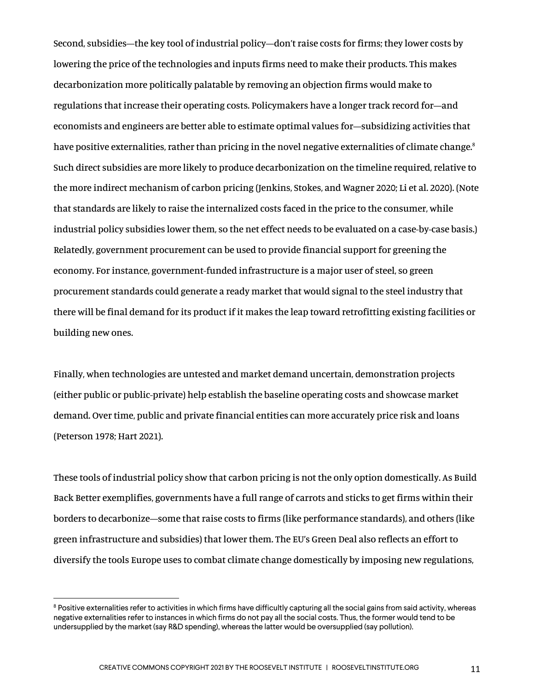Second, subsidies—the key tool of industrial policy—don't raise costs for firms; they lower costs by lowering the price of the technologies and inputs firms need to make their products. This makes decarbonization more politically palatable by removing an objection firms would make to regulations that increase their operating costs. Policymakers have a longer track record for—and economists and engineers are better able to estimate optimal values for—subsidizing activities that have positive externalities, rather than pricing in the novel negative externalities of climate change.<sup>8</sup> Such direct subsidies are more likely to produce decarbonization on the timeline required, relative to the more indirect mechanism of carbon pricing (Jenkins, Stokes, and Wagner 2020; Li et al. 2020). (Note that standards are likely to raise the internalized costs faced in the price to the consumer, while industrial policy subsidies lower them, so the net effect needs to be evaluated on a case-by-case basis.) Relatedly, government procurement can be used to provide financial support for greening the economy. For instance, government-funded infrastructure is a major user of steel, so green procurement standards could generate a ready market that would signal to the steel industry that there will be final demand for its product if it makes the leap toward retrofitting existing facilities or building new ones.

Finally, when technologies are untested and market demand uncertain, demonstration projects (either public or public-private) help establish the baseline operating costs and showcase market demand. Over time, public and private financial entities can more accurately price risk and loans (Peterson 1978; Hart 2021).

These tools of industrial policy show that carbon pricing is not the only option domestically. As Build Back Better exemplifies, governments have a full range of carrots and sticks to get firms within their borders to decarbonize—some that raise costs to firms (like performance standards), and others (like green infrastructure and subsidies) that lower them. The EU's Green Deal also reflects an effort to diversify the tools Europe uses to combat climate change domestically by imposing new regulations,

 $8$  Positive externalities refer to activities in which firms have difficultly capturing all the social gains from said activity, whereas negative externalities refer to instances in which firms do not pay all the social costs. Thus, the former would tend to be undersupplied by the market (say R&D spending), whereas the latter would be oversupplied (say pollution).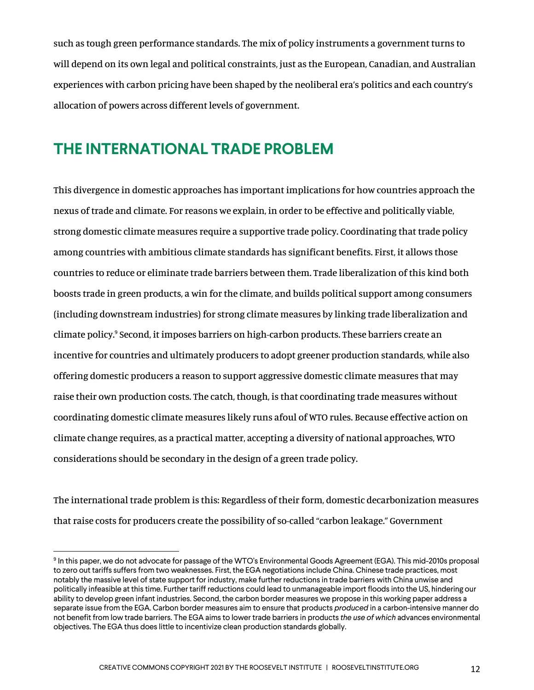such as tough green performance standards. The mix of policy instruments a government turns to will depend on its own legal and political constraints, just as the European, Canadian, and Australian experiences with carbon pricing have been shaped by the neoliberal era's politics and each country's allocation of powers across different levels of government.

#### **THE INTERNATIONAL TRADE PROBLEM**

This divergence in domestic approaches has important implications for how countries approach the nexus of trade and climate. For reasons we explain, in order to be effective and politically viable, strong domestic climate measures require a supportive trade policy. Coordinating that trade policy among countries with ambitious climate standards has significant benefits. First, it allows those countries to reduce or eliminate trade barriers between them. Trade liberalization of this kind both boosts trade in green products, a win for the climate, and builds political support among consumers (including downstream industries) for strong climate measures by linking trade liberalization and climate policy.9 Second, it imposes barriers on high-carbon products. These barriers create an incentive for countries and ultimately producers to adopt greener production standards, while also offering domestic producers a reason to support aggressive domestic climate measures that may raise their own production costs. The catch, though, is that coordinating trade measures without coordinating domestic climate measures likely runs afoul of WTO rules. Because effective action on climate change requires, as a practical matter, accepting a diversity of national approaches, WTO considerations should be secondary in the design of a green trade policy.

The international trade problem is this: Regardless of their form, domestic decarbonization measures that raise costs for producers create the possibility of so-called "carbon leakage." Government

<sup>&</sup>lt;sup>9</sup> In this paper, we do not advocate for passage of the WTO's Environmental Goods Agreement (EGA). This mid-2010s proposal to zero out tariffs suffers from two weaknesses. First, the EGA negotiations include China. Chinese trade practices, most notably the massive level of state support for industry, make further reductions in trade barriers with China unwise and politically infeasible at this time. Further tariff reductions could lead to unmanageable import floods into the US, hindering our ability to develop green infant industries. Second, the carbon border measures we propose in this working paper address a separate issue from the EGA. Carbon border measures aim to ensure that products *produced* in a carbon-intensive manner do not benefit from low trade barriers. The EGA aims to lower trade barriers in products *the use of which* advances environmental objectives. The EGA thus does little to incentivize clean production standards globally.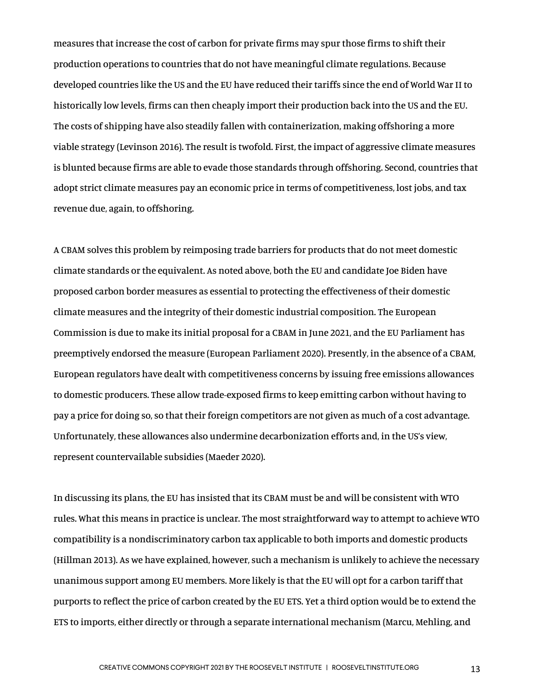measures that increase the cost of carbon for private firms may spur those firms to shift their production operations to countries that do not have meaningful climate regulations. Because developed countries like the US and the EU have reduced their tariffs since the end of World War II to historically low levels, firms can then cheaply import their production back into the US and the EU. The costs of shipping have also steadily fallen with containerization, making offshoring a more viable strategy (Levinson 2016). The result is twofold. First, the impact of aggressive climate measures is blunted because firms are able to evade those standards through offshoring. Second, countries that adopt strict climate measures pay an economic price in terms of competitiveness, lost jobs, and tax revenue due, again, to offshoring.

A CBAM solves this problem by reimposing trade barriers for products that do not meet domestic climate standards or the equivalent. As noted above, both the EU and candidate Joe Biden have proposed carbon border measures as essential to protecting the effectiveness of their domestic climate measures and the integrity of their domestic industrial composition. The European Commission is due to make its initial proposal for a CBAM in June 2021, and the EU Parliament has preemptively endorsed the measure (European Parliament 2020). Presently, in the absence of a CBAM, European regulators have dealt with competitiveness concerns by issuing free emissions allowances to domestic producers. These allow trade-exposed firms to keep emitting carbon without having to pay a price for doing so, so that their foreign competitors are not given as much of a cost advantage. Unfortunately, these allowances also undermine decarbonization efforts and, in the US's view, represent countervailable subsidies (Maeder 2020).

In discussing its plans, the EU has insisted that its CBAM must be and will be consistent with WTO rules. What this means in practice is unclear. The most straightforward way to attempt to achieve WTO compatibility is a nondiscriminatory carbon tax applicable to both imports and domestic products (Hillman 2013). As we have explained, however, such a mechanism is unlikely to achieve the necessary unanimous support among EU members. More likely is that the EU will opt for a carbon tariff that purports to reflect the price of carbon created by the EU ETS. Yet a third option would be to extend the ETS to imports, either directly or through a separate international mechanism (Marcu, Mehling, and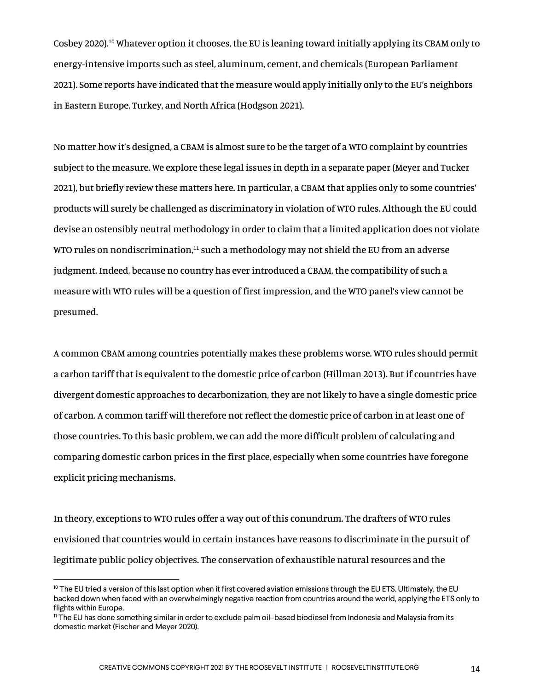Cosbey 2020).10 Whatever option it chooses, the EU is leaning toward initially applying its CBAM only to energy-intensive imports such as steel, aluminum, cement, and chemicals (European Parliament 2021). Some reports have indicated that the measure would apply initially only to the EU's neighbors in Eastern Europe, Turkey, and North Africa (Hodgson 2021).

No matter how it's designed, a CBAM is almost sure to be the target of a WTO complaint by countries subject to the measure. We explore these legal issues in depth in a separate paper (Meyer and Tucker 2021), but briefly review these matters here. In particular, a CBAM that applies only to some countries' products will surely be challenged as discriminatory in violation of WTO rules. Although the EU could devise an ostensibly neutral methodology in order to claim that a limited application does not violate WTO rules on nondiscrimination. $11$  such a methodology may not shield the EU from an adverse judgment. Indeed, because no country has ever introduced a CBAM, the compatibility of such a measure with WTO rules will be a question of first impression, and the WTO panel's view cannot be presumed.

A common CBAM among countries potentially makes these problems worse. WTO rules should permit a carbon tariff that is equivalent to the domestic price of carbon (Hillman 2013). But if countries have divergent domestic approaches to decarbonization, they are not likely to have a single domestic price of carbon. A common tariff will therefore not reflect the domestic price of carbon in at least one of those countries. To this basic problem, we can add the more difficult problem of calculating and comparing domestic carbon prices in the first place, especially when some countries have foregone explicit pricing mechanisms.

In theory, exceptions to WTO rules offer a way out of this conundrum. The drafters of WTO rules envisioned that countries would in certain instances have reasons to discriminate in the pursuit of legitimate public policy objectives. The conservation of exhaustible natural resources and the

 $10$  The EU tried a version of this last option when it first covered aviation emissions through the EU ETS. Ultimately, the EU backed down when faced with an overwhelmingly negative reaction from countries around the world, applying the ETS only to flights within Europe.

<sup>11</sup> The EU has done something similar in order to exclude palm oil–based biodiesel from Indonesia and Malaysia from its domestic market (Fischer and Meyer 2020).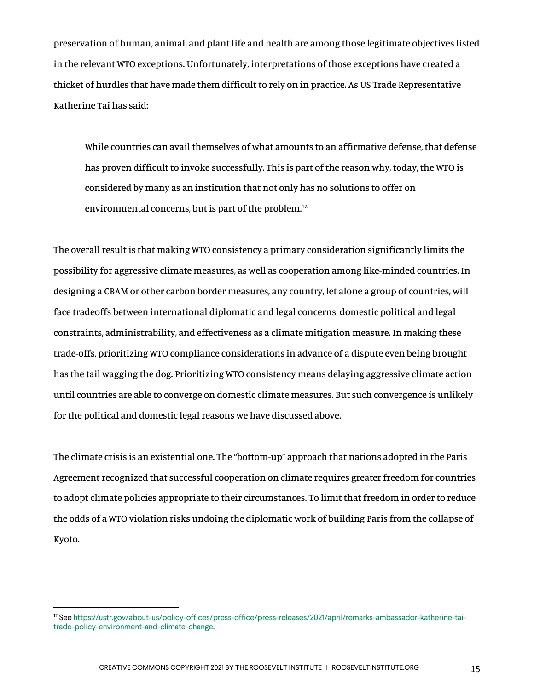preservation of human, animal, and plant life and health are among those legitimate objectives listed in the relevant WTO exceptions. Unfortunately, interpretations of those exceptions have created a thicket of hurdles that have made them difficult to rely on in practice. As US Trade Representative Katherine Tai has said:

While countries can avail themselves of what amounts to an affirmative defense, that defense has proven difficult to invoke successfully. This is part of the reason why, today, the WTO is considered by many as an institution that not only has no solutions to offer on environmental concerns, but is part of the problem.<sup>12</sup>

The overall result is that making WTO consistency a primary consideration significantly limits the possibility for aggressive climate measures, as well as cooperation among like-minded countries. In designing a CBAM or other carbon border measures, any country, let alone a group of countries, will face tradeoffs between international diplomatic and legal concerns, domestic political and legal constraints, administrability, and effectiveness as a climate mitigation measure. In making these trade-offs, prioritizing WTO compliance considerations in advance of a dispute even being brought has the tail wagging the dog. Prioritizing WTO consistency means delaying aggressive climate action until countries are able to converge on domestic climate measures. But such convergence is unlikely for the political and domestic legal reasons we have discussed above.

The climate crisis is an existential one. The "bottom-up" approach that nations adopted in the Paris Agreement recognized that successful cooperation on climate requires greater freedom for countries to adopt climate policies appropriate to their circumstances. To limit that freedom in order to reduce the odds of a WTO violation risks undoing the diplomatic work of building Paris from the collapse of Kyoto.

<sup>12</sup> See https://ustr.gov/about-us/policy-offices/press-office/press-releases/2021/april/remarks-ambassador-katherine-taitrade-policy-environment-and-climate-change.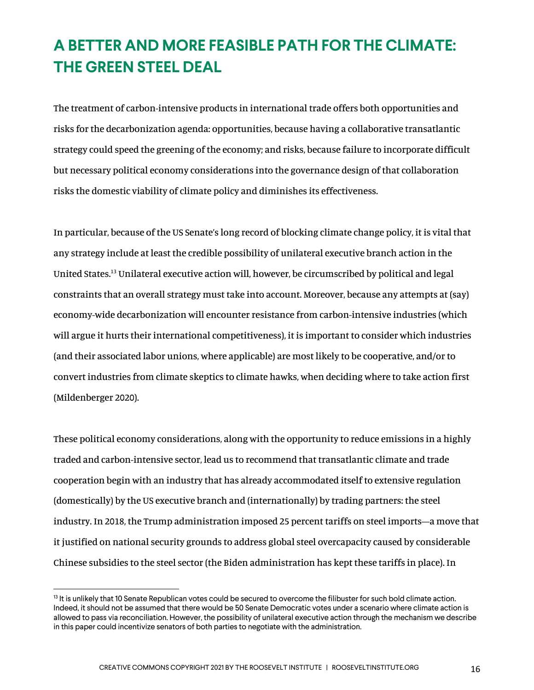### **A BETTER AND MORE FEASIBLE PATH FOR THE CLIMATE: THE GREEN STEEL DEAL**

The treatment of carbon-intensive products in international trade offers both opportunities and risks for the decarbonization agenda: opportunities, because having a collaborative transatlantic strategy could speed the greening of the economy; and risks, because failure to incorporate difficult but necessary political economy considerations into the governance design of that collaboration risks the domestic viability of climate policy and diminishes its effectiveness.

In particular, because of the US Senate's long record of blocking climate change policy, it is vital that any strategy include at least the credible possibility of unilateral executive branch action in the United States.13 Unilateral executive action will, however, be circumscribed by political and legal constraints that an overall strategy must take into account. Moreover, because any attempts at (say) economy-wide decarbonization will encounter resistance from carbon-intensive industries (which will argue it hurts their international competitiveness), it is important to consider which industries (and their associated labor unions, where applicable) are most likely to be cooperative, and/or to convert industries from climate skeptics to climate hawks, when deciding where to take action first (Mildenberger 2020).

These political economy considerations, along with the opportunity to reduce emissions in a highly traded and carbon-intensive sector, lead us to recommend that transatlantic climate and trade cooperation begin with an industry that has already accommodated itself to extensive regulation (domestically) by the US executive branch and (internationally) by trading partners: the steel industry. In 2018, the Trump administration imposed 25 percent tariffs on steel imports—a move that it justified on national security grounds to address global steel overcapacity caused by considerable Chinese subsidies to the steel sector (the Biden administration has kept these tariffs in place). In

 $13$  It is unlikely that 10 Senate Republican votes could be secured to overcome the filibuster for such bold climate action. Indeed, it should not be assumed that there would be 50 Senate Democratic votes under a scenario where climate action is allowed to pass via reconciliation. However, the possibility of unilateral executive action through the mechanism we describe in this paper could incentivize senators of both parties to negotiate with the administration.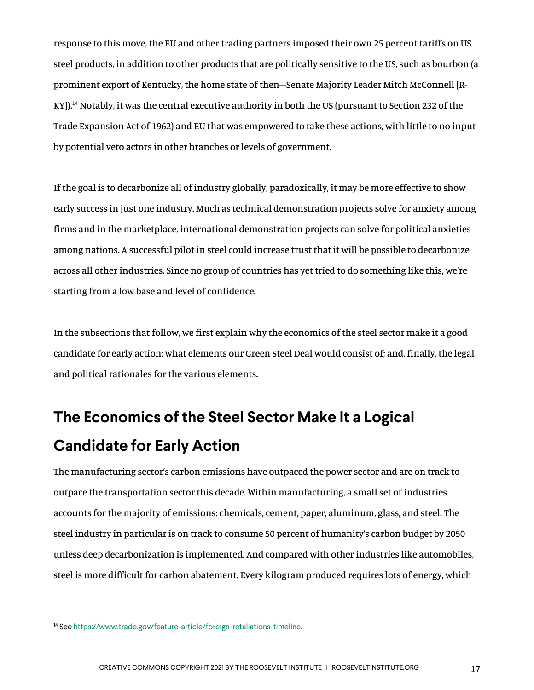response to this move, the EU and other trading partners imposed their own 25 percent tariffs on US steel products, in addition to other products that are politically sensitive to the US, such as bourbon (a prominent export of Kentucky, the home state of then–Senate Majority Leader Mitch McConnell [R-KY]).14 Notably, it was the central executive authority in both the US (pursuant to Section 232 of the Trade Expansion Act of 1962) and EU that was empowered to take these actions, with little to no input by potential veto actors in other branches or levels of government.

If the goal is to decarbonize all of industry globally, paradoxically, it may be more effective to show early success in just one industry. Much as technical demonstration projects solve for anxiety among firms and in the marketplace, international demonstration projects can solve for political anxieties among nations. A successful pilot in steel could increase trust that it will be possible to decarbonize across all other industries. Since no group of countries has yet tried to do something like this, we're starting from a low base and level of confidence.

In the subsections that follow, we first explain why the economics of the steel sector make it a good candidate for early action; what elements our Green Steel Deal would consist of; and, finally, the legal and political rationales for the various elements.

## **The Economics of the Steel Sector Make It a Logical Candidate for Early Action**

The manufacturing sector's carbon emissions have outpaced the power sector and are on track to outpace the transportation sector this decade. Within manufacturing, a small set of industries accounts for the majority of emissions: chemicals, cement, paper, aluminum, glass, and steel. The steel industry in particular is on track to consume 50 percent of humanity's carbon budget by 2050 unless deep decarbonization is implemented. And compared with other industries like automobiles, steel is more difficult for carbon abatement. Every kilogram produced requires lots of energy, which

<sup>14</sup> See https://www.trade.gov/feature-article/foreign-retaliations-timeline.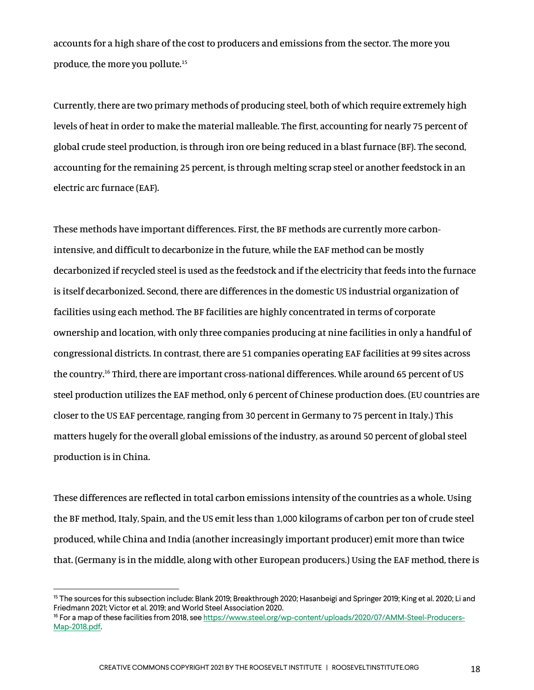accounts for a high share of the cost to producers and emissions from the sector. The more you produce, the more you pollute.15

Currently, there are two primary methods of producing steel, both of which require extremely high levels of heat in order to make the material malleable. The first, accounting for nearly 75 percent of global crude steel production, is through iron ore being reduced in a blast furnace (BF). The second, accounting for the remaining 25 percent, is through melting scrap steel or another feedstock in an electric arc furnace (EAF).

These methods have important differences. First, the BF methods are currently more carbonintensive, and difficult to decarbonize in the future, while the EAF method can be mostly decarbonized if recycled steel is used as the feedstock and if the electricity that feeds into the furnace is itself decarbonized. Second, there are differences in the domestic US industrial organization of facilities using each method. The BF facilities are highly concentrated in terms of corporate ownership and location, with only three companies producing at nine facilities in only a handful of congressional districts. In contrast, there are 51 companies operating EAF facilities at 99 sites across the country.16 Third, there are important cross-national differences. While around 65 percent of US steel production utilizes the EAF method, only 6 percent of Chinese production does. (EU countries are closer to the US EAF percentage, ranging from 30 percent in Germany to 75 percent in Italy.) This matters hugely for the overall global emissions of the industry, as around 50 percent of global steel production is in China.

These differences are reflected in total carbon emissions intensity of the countries as a whole. Using the BF method, Italy, Spain, and the US emit less than 1,000 kilograms of carbon per ton of crude steel produced, while China and India (another increasingly important producer) emit more than twice that. (Germany is in the middle, along with other European producers.) Using the EAF method, there is

<sup>&</sup>lt;sup>15</sup> The sources for this subsection include: Blank 2019; Breakthrough 2020; Hasanbeigi and Springer 2019; King et al. 2020; Li and Friedmann 2021; Victor et al. 2019; and World Steel Association 2020.

<sup>16</sup> For a map of these facilities from 2018, see https://www.steel.org/wp-content/uploads/2020/07/AMM-Steel-Producers-Map-2018.pdf.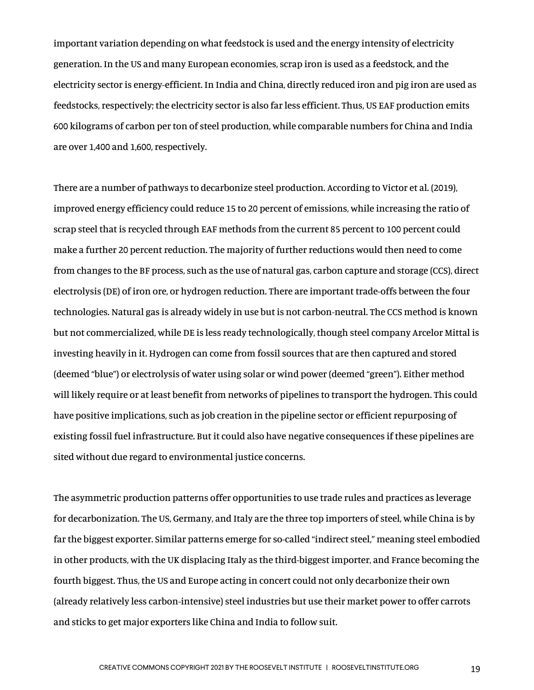important variation depending on what feedstock is used and the energy intensity of electricity generation. In the US and many European economies, scrap iron is used as a feedstock, and the electricity sector is energy-efficient. In India and China, directly reduced iron and pig iron are used as feedstocks, respectively; the electricity sector is also far less efficient. Thus, US EAF production emits 600 kilograms of carbon per ton of steel production, while comparable numbers for China and India are over 1,400 and 1,600, respectively.

There are a number of pathways to decarbonize steel production. According to Victor et al. (2019), improved energy efficiency could reduce 15 to 20 percent of emissions, while increasing the ratio of scrap steel that is recycled through EAF methods from the current 85 percent to 100 percent could make a further 20 percent reduction. The majority of further reductions would then need to come from changes to the BF process, such as the use of natural gas, carbon capture and storage (CCS), direct electrolysis (DE) of iron ore, or hydrogen reduction. There are important trade-offs between the four technologies. Natural gas is already widely in use but is not carbon-neutral. The CCS method is known but not commercialized, while DE is less ready technologically, though steel company Arcelor Mittal is investing heavily in it. Hydrogen can come from fossil sources that are then captured and stored (deemed "blue") or electrolysis of water using solar or wind power (deemed "green"). Either method will likely require or at least benefit from networks of pipelines to transport the hydrogen. This could have positive implications, such as job creation in the pipeline sector or efficient repurposing of existing fossil fuel infrastructure. But it could also have negative consequences if these pipelines are sited without due regard to environmental justice concerns.

The asymmetric production patterns offer opportunities to use trade rules and practices as leverage for decarbonization. The US, Germany, and Italy are the three top importers of steel, while China is by far the biggest exporter. Similar patterns emerge for so-called "indirect steel," meaning steel embodied in other products, with the UK displacing Italy as the third-biggest importer, and France becoming the fourth biggest. Thus, the US and Europe acting in concert could not only decarbonize their own (already relatively less carbon-intensive) steel industries but use their market power to offer carrots and sticks to get major exporters like China and India to follow suit.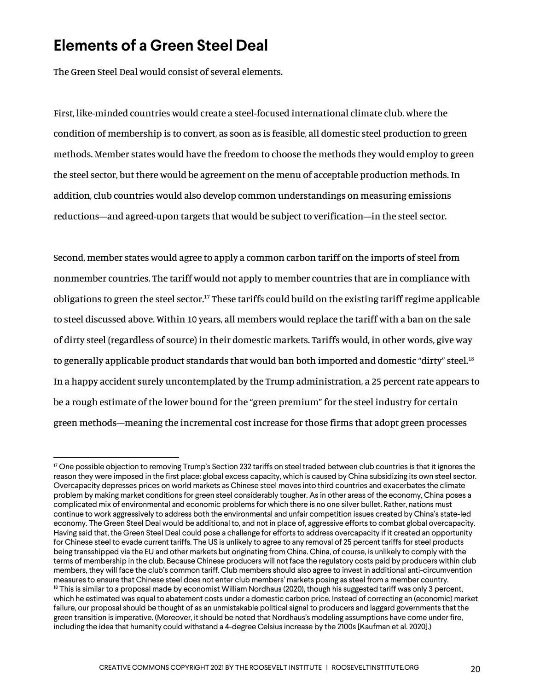#### **Elements of a Green Steel Deal**

The Green Steel Deal would consist of several elements.

First, like-minded countries would create a steel-focused international climate club, where the condition of membership is to convert, as soon as is feasible, all domestic steel production to green methods. Member states would have the freedom to choose the methods they would employ to green the steel sector, but there would be agreement on the menu of acceptable production methods. In addition, club countries would also develop common understandings on measuring emissions reductions—and agreed-upon targets that would be subject to verification—in the steel sector.

Second, member states would agree to apply a common carbon tariff on the imports of steel from nonmember countries. The tariff would not apply to member countries that are in compliance with obligations to green the steel sector.<sup>17</sup> These tariffs could build on the existing tariff regime applicable to steel discussed above. Within 10 years, all members would replace the tariff with a ban on the sale of dirty steel (regardless of source) in their domestic markets. Tariffs would, in other words, give way to generally applicable product standards that would ban both imported and domestic "dirty" steel.<sup>18</sup> In a happy accident surely uncontemplated by the Trump administration, a 25 percent rate appears to be a rough estimate of the lower bound for the "green premium" for the steel industry for certain green methods—meaning the incremental cost increase for those firms that adopt green processes

 $17$  One possible objection to removing Trump's Section 232 tariffs on steel traded between club countries is that it ignores the reason they were imposed in the first place: global excess capacity, which is caused by China subsidizing its own steel sector. Overcapacity depresses prices on world markets as Chinese steel moves into third countries and exacerbates the climate problem by making market conditions for green steel considerably tougher. As in other areas of the economy, China poses a complicated mix of environmental and economic problems for which there is no one silver bullet. Rather, nations must continue to work aggressively to address both the environmental and unfair competition issues created by China's state-led economy. The Green Steel Deal would be additional to, and not in place of, aggressive efforts to combat global overcapacity. Having said that, the Green Steel Deal could pose a challenge for efforts to address overcapacity if it created an opportunity for Chinese steel to evade current tariffs. The US is unlikely to agree to any removal of 25 percent tariffs for steel products being transshipped via the EU and other markets but originating from China. China, of course, is unlikely to comply with the terms of membership in the club. Because Chinese producers will not face the regulatory costs paid by producers within club members, they will face the club's common tariff. Club members should also agree to invest in additional anti-circumvention measures to ensure that Chinese steel does not enter club members' markets posing as steel from a member country. <sup>18</sup> This is similar to a proposal made by economist William Nordhaus (2020), though his suggested tariff was only 3 percent,

which he estimated was equal to abatement costs under a domestic carbon price. Instead of correcting an (economic) market failure, our proposal should be thought of as an unmistakable political signal to producers and laggard governments that the green transition is imperative. (Moreover, it should be noted that Nordhaus's modeling assumptions have come under fire, including the idea that humanity could withstand a 4-degree Celsius increase by the 2100s [Kaufman et al. 2020].)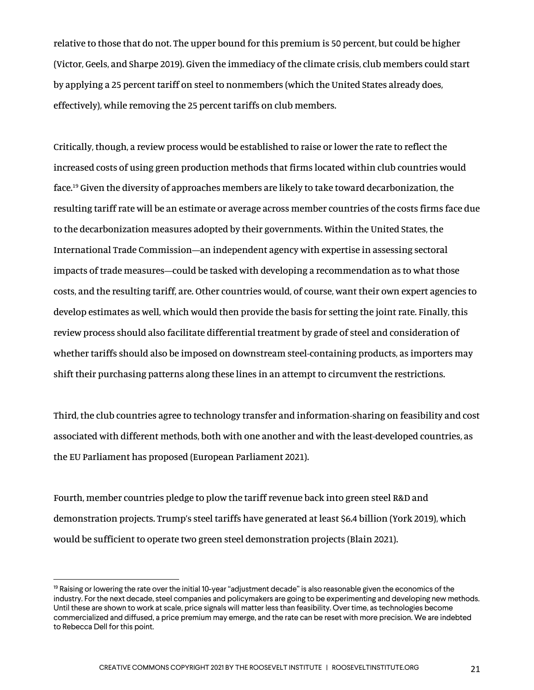relative to those that do not. The upper bound for this premium is 50 percent, but could be higher (Victor, Geels, and Sharpe 2019). Given the immediacy of the climate crisis, club members could start by applying a 25 percent tariff on steel to nonmembers (which the United States already does, effectively), while removing the 25 percent tariffs on club members.

Critically, though, a review process would be established to raise or lower the rate to reflect the increased costs of using green production methods that firms located within club countries would face.19 Given the diversity of approaches members are likely to take toward decarbonization, the resulting tariff rate will be an estimate or average across member countries of the costs firms face due to the decarbonization measures adopted by their governments. Within the United States, the International Trade Commission—an independent agency with expertise in assessing sectoral impacts of trade measures—could be tasked with developing a recommendation as to what those costs, and the resulting tariff, are. Other countries would, of course, want their own expert agencies to develop estimates as well, which would then provide the basis for setting the joint rate. Finally, this review process should also facilitate differential treatment by grade of steel and consideration of whether tariffs should also be imposed on downstream steel-containing products, as importers may shift their purchasing patterns along these lines in an attempt to circumvent the restrictions.

Third, the club countries agree to technology transfer and information-sharing on feasibility and cost associated with different methods, both with one another and with the least-developed countries, as the EU Parliament has proposed (European Parliament 2021).

Fourth, member countries pledge to plow the tariff revenue back into green steel R&D and demonstration projects. Trump's steel tariffs have generated at least \$6.4 billion (York 2019), which would be sufficient to operate two green steel demonstration projects (Blain 2021).

<sup>&</sup>lt;sup>19</sup> Raising or lowering the rate over the initial 10-year "adjustment decade" is also reasonable given the economics of the industry. For the next decade, steel companies and policymakers are going to be experimenting and developing new methods. Until these are shown to work at scale, price signals will matter less than feasibility. Over time, as technologies become commercialized and diffused, a price premium may emerge, and the rate can be reset with more precision. We are indebted to Rebecca Dell for this point.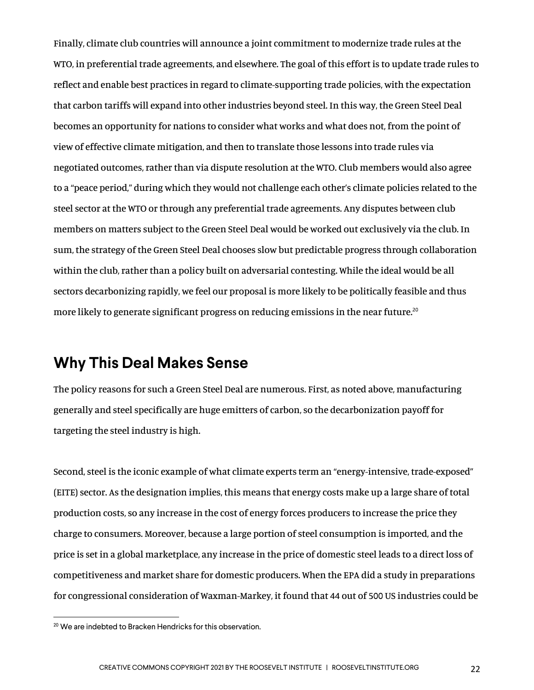Finally, climate club countries will announce a joint commitment to modernize trade rules at the WTO, in preferential trade agreements, and elsewhere. The goal of this effort is to update trade rules to reflect and enable best practices in regard to climate-supporting trade policies, with the expectation that carbon tariffs will expand into other industries beyond steel. In this way, the Green Steel Deal becomes an opportunity for nations to consider what works and what does not, from the point of view of effective climate mitigation, and then to translate those lessons into trade rules via negotiated outcomes, rather than via dispute resolution at the WTO. Club members would also agree to a "peace period," during which they would not challenge each other's climate policies related to the steel sector at the WTO or through any preferential trade agreements. Any disputes between club members on matters subject to the Green Steel Deal would be worked out exclusively via the club. In sum, the strategy of the Green Steel Deal chooses slow but predictable progress through collaboration within the club, rather than a policy built on adversarial contesting. While the ideal would be all sectors decarbonizing rapidly, we feel our proposal is more likely to be politically feasible and thus more likely to generate significant progress on reducing emissions in the near future.<sup>20</sup>

#### **Why This Deal Makes Sense**

The policy reasons for such a Green Steel Deal are numerous. First, as noted above, manufacturing generally and steel specifically are huge emitters of carbon, so the decarbonization payoff for targeting the steel industry is high.

Second, steel is the iconic example of what climate experts term an "energy-intensive, trade-exposed" (EITE) sector. As the designation implies, this means that energy costs make up a large share of total production costs, so any increase in the cost of energy forces producers to increase the price they charge to consumers. Moreover, because a large portion of steel consumption is imported, and the price is set in a global marketplace, any increase in the price of domestic steel leads to a direct loss of competitiveness and market share for domestic producers. When the EPA did a study in preparations for congressional consideration of Waxman-Markey, it found that 44 out of 500 US industries could be

<sup>&</sup>lt;sup>20</sup> We are indebted to Bracken Hendricks for this observation.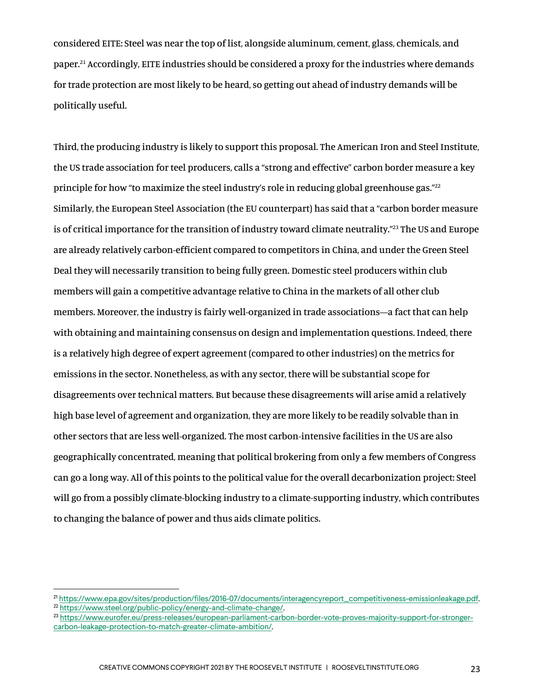considered EITE: Steel was near the top of list, alongside aluminum, cement, glass, chemicals, and paper.21 Accordingly, EITE industries should be considered a proxy for the industries where demands for trade protection are most likely to be heard, so getting out ahead of industry demands will be politically useful.

Third, the producing industry is likely to support this proposal. The American Iron and Steel Institute, the US trade association for teel producers, calls a "strong and effective" carbon border measure a key principle for how "to maximize the steel industry's role in reducing global greenhouse gas."<sup>22</sup> Similarly, the European Steel Association (the EU counterpart) has said that a "carbon border measure is of critical importance for the transition of industry toward climate neutrality."<sup>23</sup> The US and Europe are already relatively carbon-efficient compared to competitors in China, and under the Green Steel Deal they will necessarily transition to being fully green. Domestic steel producers within club members will gain a competitive advantage relative to China in the markets of all other club members. Moreover, the industry is fairly well-organized in trade associations—a fact that can help with obtaining and maintaining consensus on design and implementation questions. Indeed, there is a relatively high degree of expert agreement (compared to other industries) on the metrics for emissions in the sector. Nonetheless, as with any sector, there will be substantial scope for disagreements over technical matters. But because these disagreements will arise amid a relatively high base level of agreement and organization, they are more likely to be readily solvable than in other sectors that are less well-organized. The most carbon-intensive facilities in the US are also geographically concentrated, meaning that political brokering from only a few members of Congress can go a long way. All of this points to the political value for the overall decarbonization project: Steel will go from a possibly climate-blocking industry to a climate-supporting industry, which contributes to changing the balance of power and thus aids climate politics.

<sup>21</sup> https://www.epa.gov/sites/production/files/2016-07/documents/interagencyreport\_competitiveness-emissionleakage.pdf.

<sup>22</sup> https://www.steel.org/public-policy/energy-and-climate-change/.

<sup>23</sup> https://www.eurofer.eu/press-releases/european-parliament-carbon-border-vote-proves-majority-support-for-strongercarbon-leakage-protection-to-match-greater-climate-ambition/.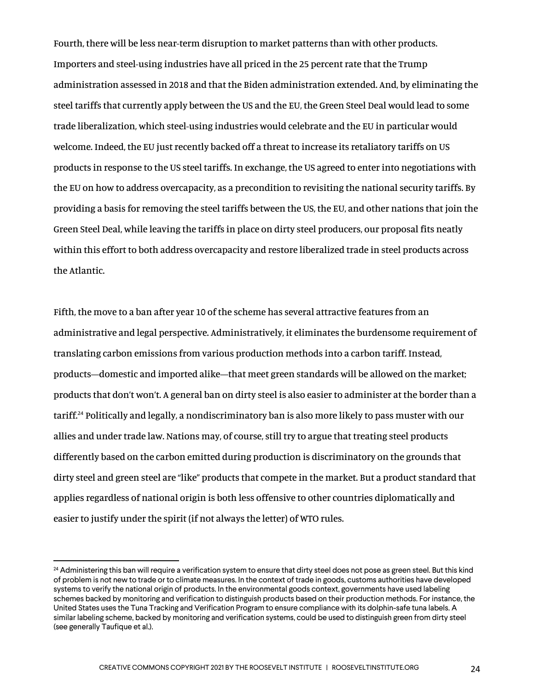Fourth, there will be less near-term disruption to market patterns than with other products. Importers and steel-using industries have all priced in the 25 percent rate that the Trump administration assessed in 2018 and that the Biden administration extended. And, by eliminating the steel tariffs that currently apply between the US and the EU, the Green Steel Deal would lead to some trade liberalization, which steel-using industries would celebrate and the EU in particular would welcome. Indeed, the EU just recently backed off a threat to increase its retaliatory tariffs on US products in response to the US steel tariffs. In exchange, the US agreed to enter into negotiations with the EU on how to address overcapacity, as a precondition to revisiting the national security tariffs. By providing a basis for removing the steel tariffs between the US, the EU, and other nations that join the Green Steel Deal, while leaving the tariffs in place on dirty steel producers, our proposal fits neatly within this effort to both address overcapacity and restore liberalized trade in steel products across the Atlantic.

Fifth, the move to a ban after year 10 of the scheme has several attractive features from an administrative and legal perspective. Administratively, it eliminates the burdensome requirement of translating carbon emissions from various production methods into a carbon tariff. Instead, products—domestic and imported alike—that meet green standards will be allowed on the market; products that don't won't. A general ban on dirty steel is also easier to administer at the border than a tariff.24 Politically and legally, a nondiscriminatory ban is also more likely to pass muster with our allies and under trade law. Nations may, of course, still try to argue that treating steel products differently based on the carbon emitted during production is discriminatory on the grounds that dirty steel and green steel are "like" products that compete in the market. But a product standard that applies regardless of national origin is both less offensive to other countries diplomatically and easier to justify under the spirit (if not always the letter) of WTO rules.

<sup>&</sup>lt;sup>24</sup> Administering this ban will require a verification system to ensure that dirty steel does not pose as green steel. But this kind of problem is not new to trade or to climate measures. In the context of trade in goods, customs authorities have developed systems to verify the national origin of products. In the environmental goods context, governments have used labeling schemes backed by monitoring and verification to distinguish products based on their production methods. For instance, the United States uses the Tuna Tracking and Verification Program to ensure compliance with its dolphin-safe tuna labels. A similar labeling scheme, backed by monitoring and verification systems, could be used to distinguish green from dirty steel (see generally Taufique et al.).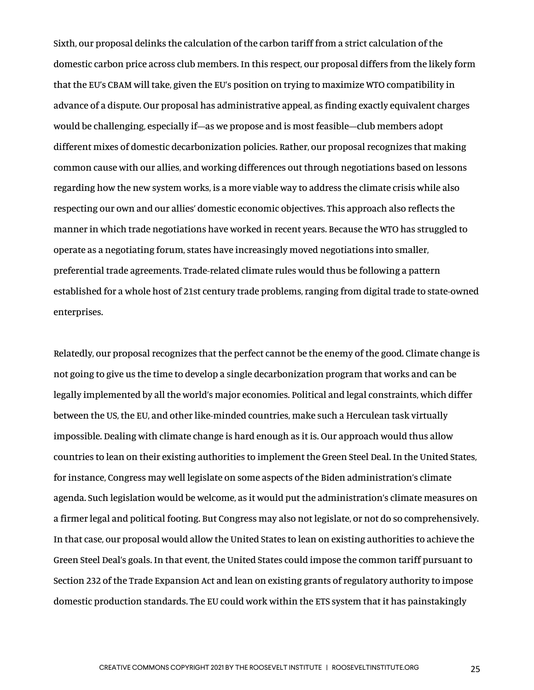Sixth, our proposal delinks the calculation of the carbon tariff from a strict calculation of the domestic carbon price across club members. In this respect, our proposal differs from the likely form that the EU's CBAM will take, given the EU's position on trying to maximize WTO compatibility in advance of a dispute. Our proposal has administrative appeal, as finding exactly equivalent charges would be challenging, especially if—as we propose and is most feasible—club members adopt different mixes of domestic decarbonization policies. Rather, our proposal recognizes that making common cause with our allies, and working differences out through negotiations based on lessons regarding how the new system works, is a more viable way to address the climate crisis while also respecting our own and our allies' domestic economic objectives. This approach also reflects the manner in which trade negotiations have worked in recent years. Because the WTO has struggled to operate as a negotiating forum, states have increasingly moved negotiations into smaller, preferential trade agreements. Trade-related climate rules would thus be following a pattern established for a whole host of 21st century trade problems, ranging from digital trade to state-owned enterprises.

Relatedly, our proposal recognizes that the perfect cannot be the enemy of the good. Climate change is not going to give us the time to develop a single decarbonization program that works and can be legally implemented by all the world's major economies. Political and legal constraints, which differ between the US, the EU, and other like-minded countries, make such a Herculean task virtually impossible. Dealing with climate change is hard enough as it is. Our approach would thus allow countries to lean on their existing authorities to implement the Green Steel Deal. In the United States, for instance, Congress may well legislate on some aspects of the Biden administration's climate agenda. Such legislation would be welcome, as it would put the administration's climate measures on a firmer legal and political footing. But Congress may also not legislate, or not do so comprehensively. In that case, our proposal would allow the United States to lean on existing authorities to achieve the Green Steel Deal's goals. In that event, the United States could impose the common tariff pursuant to Section 232 of the Trade Expansion Act and lean on existing grants of regulatory authority to impose domestic production standards. The EU could work within the ETS system that it has painstakingly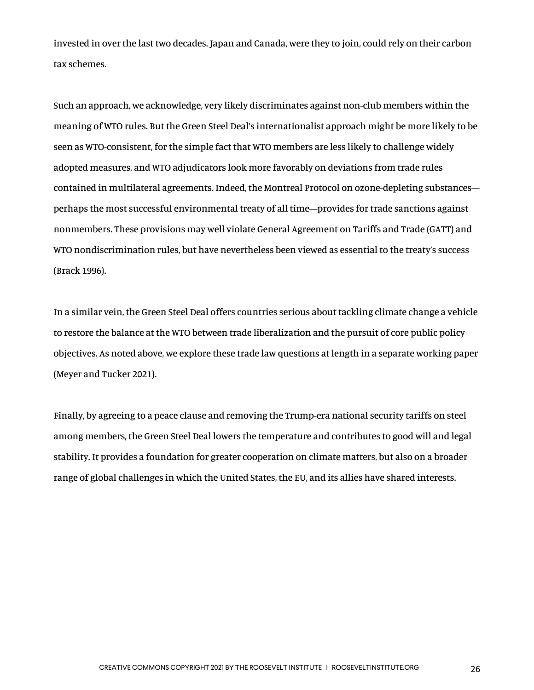invested in over the last two decades. Japan and Canada, were they to join, could rely on their carbon tax schemes.

Such an approach, we acknowledge, very likely discriminates against non-club members within the meaning of WTO rules. But the Green Steel Deal's internationalist approach might be more likely to be seen as WTO-consistent, for the simple fact that WTO members are less likely to challenge widely adopted measures, and WTO adjudicators look more favorably on deviations from trade rules contained in multilateral agreements. Indeed, the Montreal Protocol on ozone-depleting substances perhaps the most successful environmental treaty of all time—provides for trade sanctions against nonmembers. These provisions may well violate General Agreement on Tariffs and Trade (GATT) and WTO nondiscrimination rules, but have nevertheless been viewed as essential to the treaty's success (Brack 1996).

In a similar vein, the Green Steel Deal offers countries serious about tackling climate change a vehicle to restore the balance at the WTO between trade liberalization and the pursuit of core public policy objectives. As noted above, we explore these trade law questions at length in a separate working paper (Meyer and Tucker 2021).

Finally, by agreeing to a peace clause and removing the Trump-era national security tariffs on steel among members, the Green Steel Deal lowers the temperature and contributes to good will and legal stability. It provides a foundation for greater cooperation on climate matters, but also on a broader range of global challenges in which the United States, the EU, and its allies have shared interests.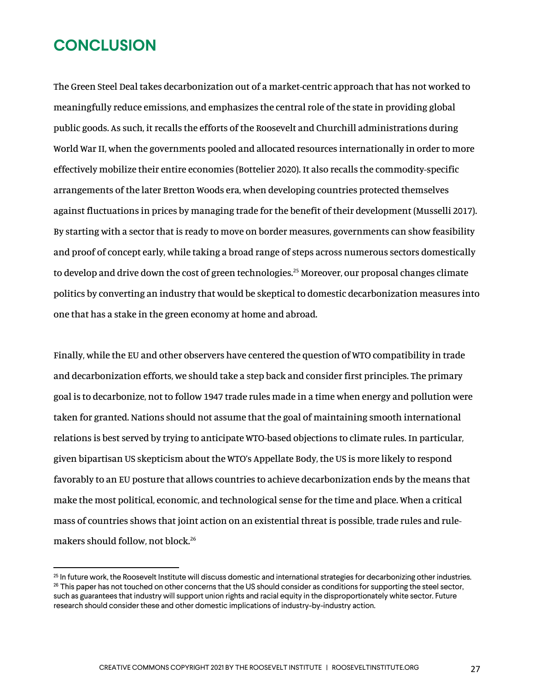#### **CONCLUSION**

The Green Steel Deal takes decarbonization out of a market-centric approach that has not worked to meaningfully reduce emissions, and emphasizes the central role of the state in providing global public goods. As such, it recalls the efforts of the Roosevelt and Churchill administrations during World War II, when the governments pooled and allocated resources internationally in order to more effectively mobilize their entire economies (Bottelier 2020). It also recalls the commodity-specific arrangements of the later Bretton Woods era, when developing countries protected themselves against fluctuations in prices by managing trade for the benefit of their development (Musselli 2017). By starting with a sector that is ready to move on border measures, governments can show feasibility and proof of concept early, while taking a broad range of steps across numerous sectors domestically to develop and drive down the cost of green technologies.<sup>25</sup> Moreover, our proposal changes climate politics by converting an industry that would be skeptical to domestic decarbonization measures into one that has a stake in the green economy at home and abroad.

Finally, while the EU and other observers have centered the question of WTO compatibility in trade and decarbonization efforts, we should take a step back and consider first principles. The primary goal is to decarbonize, not to follow 1947 trade rules made in a time when energy and pollution were taken for granted. Nations should not assume that the goal of maintaining smooth international relations is best served by trying to anticipate WTO-based objections to climate rules. In particular, given bipartisan US skepticism about the WTO's Appellate Body, the US is more likely to respond favorably to an EU posture that allows countries to achieve decarbonization ends by the means that make the most political, economic, and technological sense for the time and place. When a critical mass of countries shows that joint action on an existential threat is possible, trade rules and rulemakers should follow, not block.<sup>26</sup>

 $25$  In future work, the Roosevelt Institute will discuss domestic and international strategies for decarbonizing other industries.  $^{26}$  This paper has not touched on other concerns that the US should consider as conditions for supporting the steel sector, such as guarantees that industry will support union rights and racial equity in the disproportionately white sector. Future research should consider these and other domestic implications of industry-by-industry action.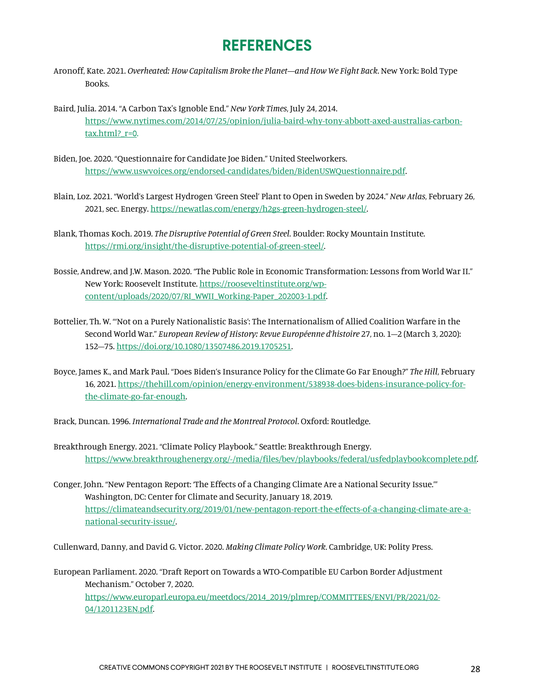#### **REFERENCES**

- Aronoff, Kate. 2021. *Overheated: How Capitalism Broke the Planet—and How We Fight Back*. New York: Bold Type Books.
- Baird, Julia. 2014. "A Carbon Tax's Ignoble End." *New York Times*, July 24, 2014. https://www.nytimes.com/2014/07/25/opinion/julia-baird-why-tony-abbott-axed-australias-carbon $tax.html?$   $r=0.$
- Biden, Joe. 2020. "Questionnaire for Candidate Joe Biden." United Steelworkers. https://www.uswvoices.org/endorsed-candidates/biden/BidenUSWQuestionnaire.pdf.
- Blain, Loz. 2021. "World's Largest Hydrogen 'Green Steel' Plant to Open in Sweden by 2024." *New Atlas*, February 26, 2021, sec. Energy. https://newatlas.com/energy/h2gs-green-hydrogen-steel/.
- Blank, Thomas Koch. 2019. *The Disruptive Potential of Green Steel*. Boulder: Rocky Mountain Institute. https://rmi.org/insight/the-disruptive-potential-of-green-steel/.
- Bossie, Andrew, and J.W. Mason. 2020. "The Public Role in Economic Transformation: Lessons from World War II." New York: Roosevelt Institute. https://rooseveltinstitute.org/wpcontent/uploads/2020/07/RI\_WWII\_Working-Paper\_202003-1.pdf.
- Bottelier, Th. W. "'Not on a Purely Nationalistic Basis': The Internationalism of Allied Coalition Warfare in the Second World War." *European Review of History: Revue Européenne d'histoire* 27, no. 1–2 (March 3, 2020): 152–75. https://doi.org/10.1080/13507486.2019.1705251.
- Boyce, James K., and Mark Paul. "Does Biden's Insurance Policy for the Climate Go Far Enough?" *The Hill*, February 16, 2021. https://thehill.com/opinion/energy-environment/538938-does-bidens-insurance-policy-forthe-climate-go-far-enough.
- Brack, Duncan. 1996. *International Trade and the Montreal Protocol*. Oxford: Routledge.
- Breakthrough Energy. 2021. "Climate Policy Playbook." Seattle: Breakthrough Energy. https://www.breakthroughenergy.org/-/media/files/bev/playbooks/federal/usfedplaybookcomplete.pdf.
- Conger, John. "New Pentagon Report: 'The Effects of a Changing Climate Are a National Security Issue.'" Washington, DC: Center for Climate and Security, January 18, 2019. https://climateandsecurity.org/2019/01/new-pentagon-report-the-effects-of-a-changing-climate-are-anational-security-issue/.

Cullenward, Danny, and David G. Victor. 2020. *Making Climate Policy Work*. Cambridge, UK: Polity Press.

European Parliament. 2020. "Draft Report on Towards a WTO-Compatible EU Carbon Border Adjustment Mechanism." October 7, 2020. https://www.europarl.europa.eu/meetdocs/2014\_2019/plmrep/COMMITTEES/ENVI/PR/2021/02- 04/1201123EN.pdf.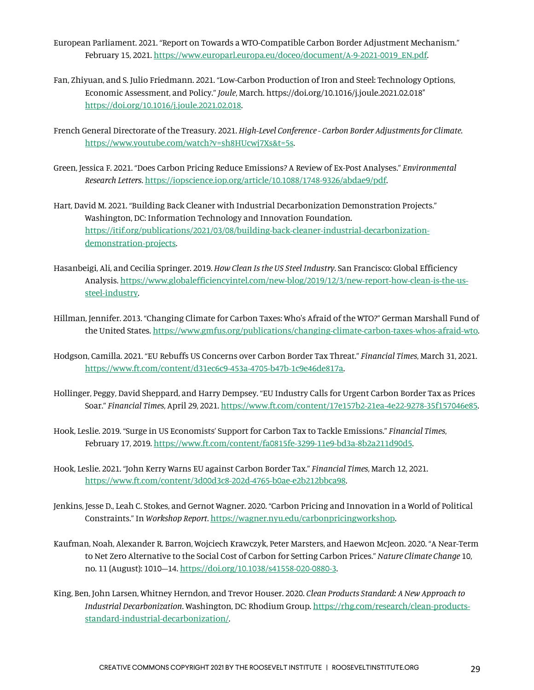- European Parliament. 2021. "Report on Towards a WTO-Compatible Carbon Border Adjustment Mechanism." February 15, 2021. https://www.europarl.europa.eu/doceo/document/A-9-2021-0019\_EN.pdf.
- Fan, Zhiyuan, and S. Julio Friedmann. 2021. "Low-Carbon Production of Iron and Steel: Technology Options, Economic Assessment, and Policy." *Joule*, March. https://doi.org/10.1016/j.joule.2021.02.018" https://doi.org/10.1016/j.joule.2021.02.018.
- French General Directorate of the Treasury. 2021. *High-Level Conference - Carbon Border Adjustments for Climate*. https://www.youtube.com/watch?v=sh8HUcwj7Xs&t=5s.
- Green, Jessica F. 2021. "Does Carbon Pricing Reduce Emissions? A Review of Ex-Post Analyses." *Environmental Research Letters*. https://iopscience.iop.org/article/10.1088/1748-9326/abdae9/pdf.
- Hart, David M. 2021. "Building Back Cleaner with Industrial Decarbonization Demonstration Projects." Washington, DC: Information Technology and Innovation Foundation. https://itif.org/publications/2021/03/08/building-back-cleaner-industrial-decarbonizationdemonstration-projects.
- Hasanbeigi, Ali, and Cecilia Springer. 2019. *How Clean Is the US Steel Industry*. San Francisco: Global Efficiency Analysis. https://www.globalefficiencyintel.com/new-blog/2019/12/3/new-report-how-clean-is-the-ussteel-industry.
- Hillman, Jennifer. 2013. "Changing Climate for Carbon Taxes: Who's Afraid of the WTO?" German Marshall Fund of the United States. https://www.gmfus.org/publications/changing-climate-carbon-taxes-whos-afraid-wto.
- Hodgson, Camilla. 2021. "EU Rebuffs US Concerns over Carbon Border Tax Threat." *Financial Times*, March 31, 2021. https://www.ft.com/content/d31ec6c9-453a-4705-b47b-1c9e46de817a.
- Hollinger, Peggy, David Sheppard, and Harry Dempsey. "EU Industry Calls for Urgent Carbon Border Tax as Prices Soar." *Financial Times*, April 29, 2021. https://www.ft.com/content/17e157b2-21ea-4e22-9278-35f157046e85.
- Hook, Leslie. 2019. "Surge in US Economists' Support for Carbon Tax to Tackle Emissions." *Financial Times*, February 17, 2019. https://www.ft.com/content/fa0815fe-3299-11e9-bd3a-8b2a211d90d5.
- Hook, Leslie. 2021. "John Kerry Warns EU against Carbon Border Tax." *Financial Times*, March 12, 2021. https://www.ft.com/content/3d00d3c8-202d-4765-b0ae-e2b212bbca98.
- Jenkins, Jesse D., Leah C. Stokes, and Gernot Wagner. 2020. "Carbon Pricing and Innovation in a World of Political Constraints." In *Workshop Report*. https://wagner.nyu.edu/carbonpricingworkshop.
- Kaufman, Noah, Alexander R. Barron, Wojciech Krawczyk, Peter Marsters, and Haewon McJeon. 2020. "A Near-Term to Net Zero Alternative to the Social Cost of Carbon for Setting Carbon Prices." *Nature Climate Change* 10, no. 11 (August): 1010–14. https://doi.org/10.1038/s41558-020-0880-3.
- King, Ben, John Larsen, Whitney Herndon, and Trevor Houser. 2020. *Clean Products Standard: A New Approach to Industrial Decarbonization*. Washington, DC: Rhodium Group. https://rhg.com/research/clean-productsstandard-industrial-decarbonization/.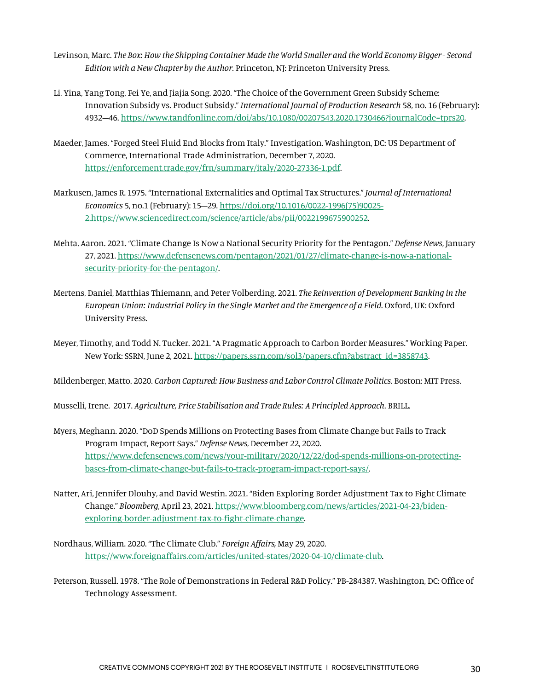- Levinson, Marc. *The Box: How the Shipping Container Made the World Smaller and the World Economy Bigger - Second Edition with a New Chapter by the Author*. Princeton, NJ: Princeton University Press.
- Li, Yina, Yang Tong, Fei Ye, and Jiajia Song. 2020. "The Choice of the Government Green Subsidy Scheme: Innovation Subsidy vs. Product Subsidy." *International Journal of Production Research* 58, no. 16 (February): 4932–46. https://www.tandfonline.com/doi/abs/10.1080/00207543.2020.1730466?journalCode=tprs20.
- Maeder, James. "Forged Steel Fluid End Blocks from Italy." Investigation. Washington, DC: US Department of Commerce, International Trade Administration, December 7, 2020. https://enforcement.trade.gov/frn/summary/italy/2020-27336-1.pdf.
- Markusen, James R. 1975. "International Externalities and Optimal Tax Structures." *Journal of International Economics* 5, no.1 (February): 15–29. https://doi.org/10.1016/0022-1996(75)90025- 2.https://www.sciencedirect.com/science/article/abs/pii/0022199675900252.
- Mehta, Aaron. 2021. "Climate Change Is Now a National Security Priority for the Pentagon." *Defense News*, January 27, 2021. https://www.defensenews.com/pentagon/2021/01/27/climate-change-is-now-a-nationalsecurity-priority-for-the-pentagon/.
- Mertens, Daniel, Matthias Thiemann, and Peter Volberding. 2021. *The Reinvention of Development Banking in the European Union: Industrial Policy in the Single Market and the Emergence of a Field*. Oxford, UK: Oxford University Press.
- Meyer, Timothy, and Todd N. Tucker. 2021. "A Pragmatic Approach to Carbon Border Measures." Working Paper. New York: SSRN, June 2, 2021. https://papers.ssrn.com/sol3/papers.cfm?abstract\_id=3858743.

Mildenberger, Matto. 2020. *Carbon Captured: How Business and Labor Control Climate Politics*. Boston: MIT Press.

Musselli, Irene. 2017. *Agriculture, Price Stabilisation and Trade Rules: A Principled Approach*. BRILL.

- Myers, Meghann. 2020. "DoD Spends Millions on Protecting Bases from Climate Change but Fails to Track Program Impact, Report Says." *Defense News*, December 22, 2020. https://www.defensenews.com/news/your-military/2020/12/22/dod-spends-millions-on-protectingbases-from-climate-change-but-fails-to-track-program-impact-report-says/.
- Natter, Ari, Jennifer Dlouhy, and David Westin. 2021. "Biden Exploring Border Adjustment Tax to Fight Climate Change." *Bloomberg*, April 23, 2021. https://www.bloomberg.com/news/articles/2021-04-23/bidenexploring-border-adjustment-tax-to-fight-climate-change.
- Nordhaus, William. 2020. "The Climate Club." *Foreign Affairs,* May 29, 2020. https://www.foreignaffairs.com/articles/united-states/2020-04-10/climate-club*.*
- Peterson, Russell. 1978. "The Role of Demonstrations in Federal R&D Policy." PB-284387. Washington, DC: Office of Technology Assessment.